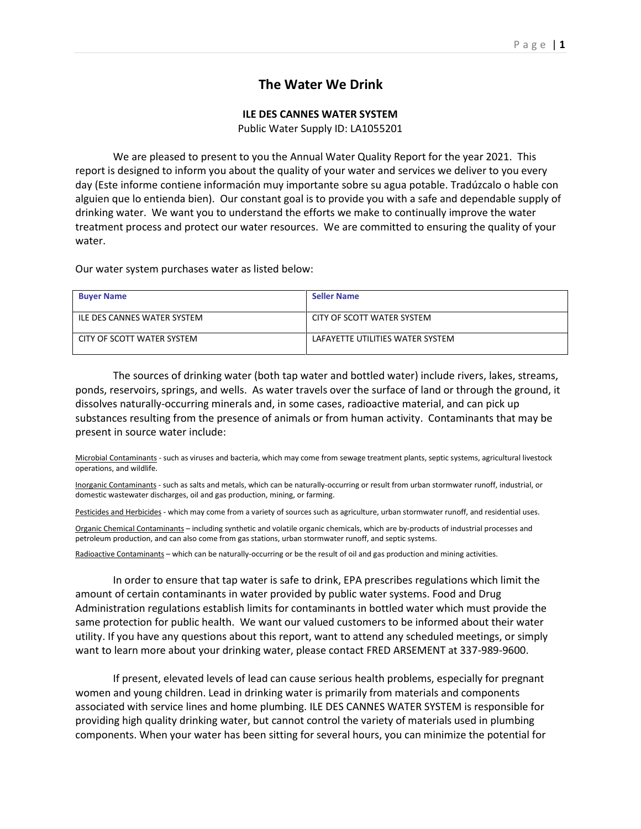## **The Water We Drink**

## **ILE DES CANNES WATER SYSTEM**

Public Water Supply ID: LA1055201

We are pleased to present to you the Annual Water Quality Report for the year 2021. This report is designed to inform you about the quality of your water and services we deliver to you every day (Este informe contiene información muy importante sobre su agua potable. Tradúzcalo o hable con alguien que lo entienda bien). Our constant goal is to provide you with a safe and dependable supply of drinking water. We want you to understand the efforts we make to continually improve the water treatment process and protect our water resources. We are committed to ensuring the quality of your water.

Our water system purchases water as listed below:

| <b>Buyer Name</b>           | <b>Seller Name</b>               |
|-----------------------------|----------------------------------|
| ILE DES CANNES WATER SYSTEM | CITY OF SCOTT WATER SYSTEM       |
| CITY OF SCOTT WATER SYSTEM  | LAFAYETTE UTILITIES WATER SYSTEM |

The sources of drinking water (both tap water and bottled water) include rivers, lakes, streams, ponds, reservoirs, springs, and wells. As water travels over the surface of land or through the ground, it dissolves naturally-occurring minerals and, in some cases, radioactive material, and can pick up substances resulting from the presence of animals or from human activity. Contaminants that may be present in source water include:

Microbial Contaminants - such as viruses and bacteria, which may come from sewage treatment plants, septic systems, agricultural livestock operations, and wildlife.

Inorganic Contaminants - such as salts and metals, which can be naturally-occurring or result from urban stormwater runoff, industrial, or domestic wastewater discharges, oil and gas production, mining, or farming.

Pesticides and Herbicides - which may come from a variety of sources such as agriculture, urban stormwater runoff, and residential uses.

Organic Chemical Contaminants – including synthetic and volatile organic chemicals, which are by-products of industrial processes and petroleum production, and can also come from gas stations, urban stormwater runoff, and septic systems.

Radioactive Contaminants – which can be naturally-occurring or be the result of oil and gas production and mining activities.

In order to ensure that tap water is safe to drink, EPA prescribes regulations which limit the amount of certain contaminants in water provided by public water systems. Food and Drug Administration regulations establish limits for contaminants in bottled water which must provide the same protection for public health. We want our valued customers to be informed about their water utility. If you have any questions about this report, want to attend any scheduled meetings, or simply want to learn more about your drinking water, please contact FRED ARSEMENT at 337-989-9600.

If present, elevated levels of lead can cause serious health problems, especially for pregnant women and young children. Lead in drinking water is primarily from materials and components associated with service lines and home plumbing. ILE DES CANNES WATER SYSTEM is responsible for providing high quality drinking water, but cannot control the variety of materials used in plumbing components. When your water has been sitting for several hours, you can minimize the potential for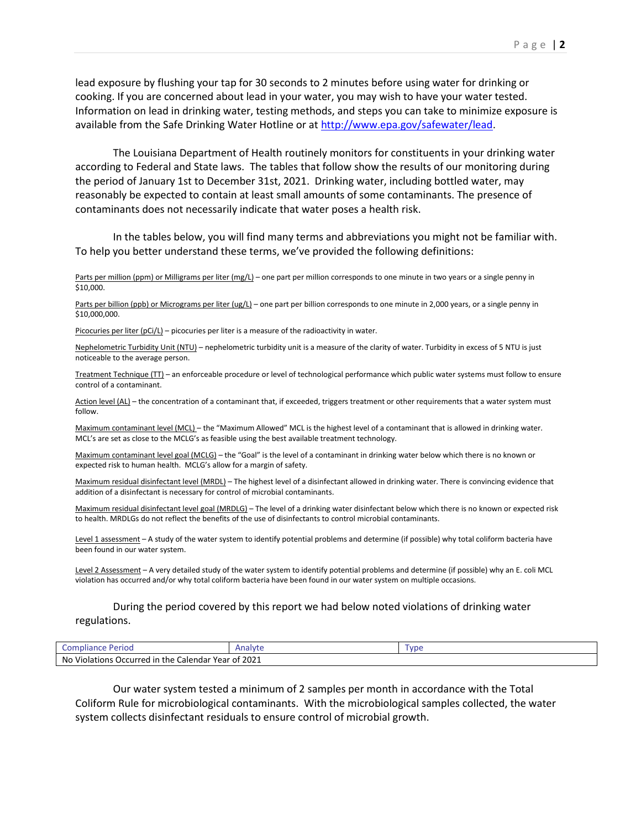lead exposure by flushing your tap for 30 seconds to 2 minutes before using water for drinking or cooking. If you are concerned about lead in your water, you may wish to have your water tested. Information on lead in drinking water, testing methods, and steps you can take to minimize exposure is available from the Safe Drinking Water Hotline or a[t http://www.epa.gov/safewater/lead.](http://www.epa.gov/safewater/lead)

The Louisiana Department of Health routinely monitors for constituents in your drinking water according to Federal and State laws. The tables that follow show the results of our monitoring during the period of January 1st to December 31st, 2021. Drinking water, including bottled water, may reasonably be expected to contain at least small amounts of some contaminants. The presence of contaminants does not necessarily indicate that water poses a health risk.

In the tables below, you will find many terms and abbreviations you might not be familiar with. To help you better understand these terms, we've provided the following definitions:

Parts per million (ppm) or Milligrams per liter (mg/L) – one part per million corresponds to one minute in two years or a single penny in \$10,000.

Parts per billion (ppb) or Micrograms per liter (ug/L) – one part per billion corresponds to one minute in 2,000 years, or a single penny in \$10,000,000.

Picocuries per liter  $(pCi/L)$  – picocuries per liter is a measure of the radioactivity in water.

Nephelometric Turbidity Unit (NTU) – nephelometric turbidity unit is a measure of the clarity of water. Turbidity in excess of 5 NTU is just noticeable to the average person.

Treatment Technique (TT) – an enforceable procedure or level of technological performance which public water systems must follow to ensure control of a contaminant.

Action level (AL) – the concentration of a contaminant that, if exceeded, triggers treatment or other requirements that a water system must follow.

Maximum contaminant level (MCL) – the "Maximum Allowed" MCL is the highest level of a contaminant that is allowed in drinking water. MCL's are set as close to the MCLG's as feasible using the best available treatment technology.

Maximum contaminant level goal (MCLG) – the "Goal" is the level of a contaminant in drinking water below which there is no known or expected risk to human health. MCLG's allow for a margin of safety.

Maximum residual disinfectant level (MRDL) – The highest level of a disinfectant allowed in drinking water. There is convincing evidence that addition of a disinfectant is necessary for control of microbial contaminants.

Maximum residual disinfectant level goal (MRDLG) – The level of a drinking water disinfectant below which there is no known or expected risk to health. MRDLGs do not reflect the benefits of the use of disinfectants to control microbial contaminants.

Level 1 assessment – A study of the water system to identify potential problems and determine (if possible) why total coliform bacteria have been found in our water system.

Level 2 Assessment - A very detailed study of the water system to identify potential problems and determine (if possible) why an E. coli MCL violation has occurred and/or why total coliform bacteria have been found in our water system on multiple occasions.

## During the period covered by this report we had below noted violations of drinking water regulations.

| Period<br>Compliance                                               | Analyte | VD6 |  |  |  |  |
|--------------------------------------------------------------------|---------|-----|--|--|--|--|
| $\degree$ 2021<br>No Violations Occurred in the Calendar Year of 2 |         |     |  |  |  |  |

Our water system tested a minimum of 2 samples per month in accordance with the Total Coliform Rule for microbiological contaminants. With the microbiological samples collected, the water system collects disinfectant residuals to ensure control of microbial growth.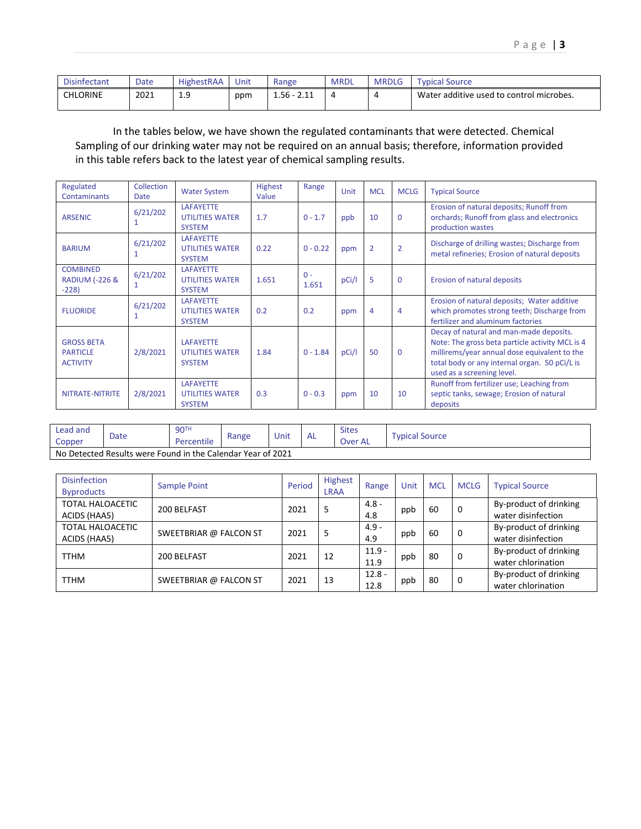| <b>Disinfectant</b> | Date | HighestRAA  | Unit | Range                                | <b>MRDL</b> | <b>MRDLG</b> | Typical Source                           |
|---------------------|------|-------------|------|--------------------------------------|-------------|--------------|------------------------------------------|
| <b>CHLORINE</b>     | 2021 | 1 Q<br>ت. 1 | ppm  | $1.56 - 7$<br><b>COM</b><br><u>_</u> |             | Д            | Water additive used to control microbes. |

In the tables below, we have shown the regulated contaminants that were detected. Chemical Sampling of our drinking water may not be required on an annual basis; therefore, information provided in this table refers back to the latest year of chemical sampling results.

| Regulated<br><b>Contaminants</b>                        | Collection<br><b>Date</b> | <b>Water System</b>                                         | Highest<br>Value | Range          | Unit  | <b>MCL</b>     | <b>MCLG</b>    | <b>Typical Source</b>                                                                                                                                                                                                     |
|---------------------------------------------------------|---------------------------|-------------------------------------------------------------|------------------|----------------|-------|----------------|----------------|---------------------------------------------------------------------------------------------------------------------------------------------------------------------------------------------------------------------------|
| <b>ARSENIC</b>                                          | 6/21/202                  | <b>LAFAYETTE</b><br><b>UTILITIES WATER</b><br><b>SYSTEM</b> | 1.7              | $0 - 1.7$      | ppb   | 10             | $\mathbf 0$    | Erosion of natural deposits; Runoff from<br>orchards; Runoff from glass and electronics<br>production wastes                                                                                                              |
| <b>BARIUM</b>                                           | 6/21/202                  | <b>LAFAYETTE</b><br><b>UTILITIES WATER</b><br><b>SYSTEM</b> | 0.22             | $0 - 0.22$     | ppm   | $\overline{2}$ | $\overline{2}$ | Discharge of drilling wastes; Discharge from<br>metal refineries; Erosion of natural deposits                                                                                                                             |
| <b>COMBINED</b><br><b>RADIUM (-226 &amp;</b><br>$-228$  | 6/21/202                  | <b>LAFAYETTE</b><br><b>UTILITIES WATER</b><br><b>SYSTEM</b> | 1.651            | $0 -$<br>1.651 | pCi/l | 5              | $\mathbf 0$    | Erosion of natural deposits                                                                                                                                                                                               |
| <b>FLUORIDE</b>                                         | 6/21/202                  | <b>LAFAYETTE</b><br><b>UTILITIES WATER</b><br><b>SYSTEM</b> | 0.2              | 0.2            | ppm   | $\overline{4}$ | $\overline{4}$ | Erosion of natural deposits; Water additive<br>which promotes strong teeth; Discharge from<br>fertilizer and aluminum factories                                                                                           |
| <b>GROSS BETA</b><br><b>PARTICLE</b><br><b>ACTIVITY</b> | 2/8/2021                  | <b>LAFAYETTE</b><br><b>UTILITIES WATER</b><br><b>SYSTEM</b> | 1.84             | $0 - 1.84$     | pCi/l | 50             | $\Omega$       | Decay of natural and man-made deposits.<br>Note: The gross beta particle activity MCL is 4<br>millirems/year annual dose equivalent to the<br>total body or any internal organ. 50 pCi/L is<br>used as a screening level. |
| NITRATE-NITRITE                                         | 2/8/2021                  | <b>LAFAYETTE</b><br><b>UTILITIES WATER</b><br><b>SYSTEM</b> | 0.3              | $0 - 0.3$      | ppm   | 10             | 10             | Runoff from fertilizer use; Leaching from<br>septic tanks, sewage; Erosion of natural<br>deposits                                                                                                                         |

| Lead and                                                    |      | 90 <sup>TH</sup> | Unit<br>Range |  | <b>AL</b> | <b>Sites</b> | Typical Source |  |
|-------------------------------------------------------------|------|------------------|---------------|--|-----------|--------------|----------------|--|
| Copper                                                      | Date |                  |               |  |           | Over<br>`AL  |                |  |
| No Detected Results were Found in the Calendar Year of 2021 |      |                  |               |  |           |              |                |  |

| <b>Disinfection</b><br><b>Byproducts</b> | Sample Point           | Period | Highest<br><b>LRAA</b> | Range            | Unit | <b>MCL</b> | <b>MCLG</b> | <b>Typical Source</b>                        |
|------------------------------------------|------------------------|--------|------------------------|------------------|------|------------|-------------|----------------------------------------------|
| <b>TOTAL HALOACETIC</b><br>ACIDS (HAA5)  | 200 BELFAST            | 2021   | 5                      | $4.8 -$<br>4.8   | ppb  | 60         | 0           | By-product of drinking<br>water disinfection |
| <b>TOTAL HALOACETIC</b><br>ACIDS (HAA5)  | SWEETBRIAR @ FALCON ST | 2021   | .5                     | $4.9 -$<br>4.9   | ppb  | 60         | 0           | By-product of drinking<br>water disinfection |
| <b>TTHM</b>                              | 200 BELFAST            | 2021   | 12                     | $11.9 -$<br>11.9 | ppb  | 80         | 0           | By-product of drinking<br>water chlorination |
| <b>TTHM</b>                              | SWEETBRIAR @ FALCON ST | 2021   | 13                     | $12.8 -$<br>12.8 | ppb  | 80         | 0           | By-product of drinking<br>water chlorination |